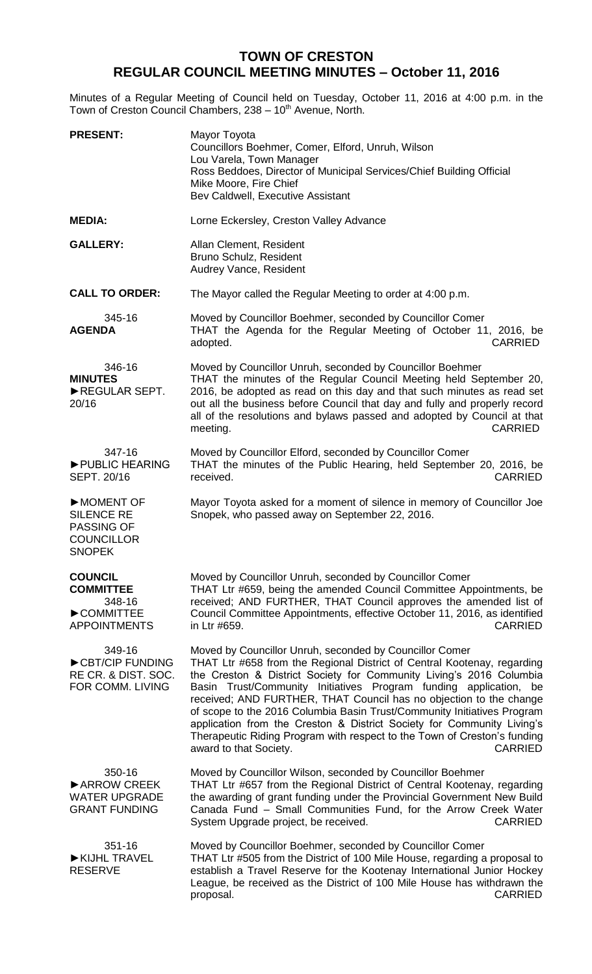## **TOWN OF CRESTON REGULAR COUNCIL MEETING MINUTES – October 11, 2016**

Minutes of a Regular Meeting of Council held on Tuesday, October 11, 2016 at 4:00 p.m. in the Town of Creston Council Chambers, 238 - 10<sup>th</sup> Avenue, North.

| <b>PRESENT:</b>                                                                           | Mayor Toyota<br>Councillors Boehmer, Comer, Elford, Unruh, Wilson<br>Lou Varela, Town Manager<br>Ross Beddoes, Director of Municipal Services/Chief Building Official<br>Mike Moore, Fire Chief<br>Bev Caldwell, Executive Assistant                                                                                                                                                                                                                                                                                                                                                                                              |
|-------------------------------------------------------------------------------------------|-----------------------------------------------------------------------------------------------------------------------------------------------------------------------------------------------------------------------------------------------------------------------------------------------------------------------------------------------------------------------------------------------------------------------------------------------------------------------------------------------------------------------------------------------------------------------------------------------------------------------------------|
| <b>MEDIA:</b>                                                                             | Lorne Eckersley, Creston Valley Advance                                                                                                                                                                                                                                                                                                                                                                                                                                                                                                                                                                                           |
| <b>GALLERY:</b>                                                                           | Allan Clement, Resident<br>Bruno Schulz, Resident<br>Audrey Vance, Resident                                                                                                                                                                                                                                                                                                                                                                                                                                                                                                                                                       |
| <b>CALL TO ORDER:</b>                                                                     | The Mayor called the Regular Meeting to order at 4:00 p.m.                                                                                                                                                                                                                                                                                                                                                                                                                                                                                                                                                                        |
| 345-16<br><b>AGENDA</b>                                                                   | Moved by Councillor Boehmer, seconded by Councillor Comer<br>THAT the Agenda for the Regular Meeting of October 11, 2016, be<br><b>CARRIED</b><br>adopted.                                                                                                                                                                                                                                                                                                                                                                                                                                                                        |
| 346-16<br><b>MINUTES</b><br>REGULAR SEPT.<br>20/16                                        | Moved by Councillor Unruh, seconded by Councillor Boehmer<br>THAT the minutes of the Regular Council Meeting held September 20,<br>2016, be adopted as read on this day and that such minutes as read set<br>out all the business before Council that day and fully and properly record<br>all of the resolutions and bylaws passed and adopted by Council at that<br><b>CARRIED</b><br>meeting.                                                                                                                                                                                                                                  |
| 347-16<br>PUBLIC HEARING<br>SEPT. 20/16                                                   | Moved by Councillor Elford, seconded by Councillor Comer<br>THAT the minutes of the Public Hearing, held September 20, 2016, be<br><b>CARRIED</b><br>received.                                                                                                                                                                                                                                                                                                                                                                                                                                                                    |
| MOMENT OF<br><b>SILENCE RE</b><br><b>PASSING OF</b><br><b>COUNCILLOR</b><br><b>SNOPEK</b> | Mayor Toyota asked for a moment of silence in memory of Councillor Joe<br>Snopek, who passed away on September 22, 2016.                                                                                                                                                                                                                                                                                                                                                                                                                                                                                                          |
| <b>COUNCIL</b><br><b>COMMITTEE</b><br>348-16<br>COMMITTEE<br><b>APPOINTMENTS</b>          | Moved by Councillor Unruh, seconded by Councillor Comer<br>THAT Ltr #659, being the amended Council Committee Appointments, be<br>received; AND FURTHER, THAT Council approves the amended list of<br>Council Committee Appointments, effective October 11, 2016, as identified<br><b>CARRIED</b><br>in Ltr #659.                                                                                                                                                                                                                                                                                                                 |
| 349-16<br>CBT/CIP FUNDING<br>RE CR. & DIST. SOC.<br>FOR COMM. LIVING                      | Moved by Councillor Unruh, seconded by Councillor Comer<br>THAT Ltr #658 from the Regional District of Central Kootenay, regarding<br>the Creston & District Society for Community Living's 2016 Columbia<br>Basin Trust/Community Initiatives Program funding application, be<br>received; AND FURTHER, THAT Council has no objection to the change<br>of scope to the 2016 Columbia Basin Trust/Community Initiatives Program<br>application from the Creston & District Society for Community Living's<br>Therapeutic Riding Program with respect to the Town of Creston's funding<br><b>CARRIED</b><br>award to that Society. |
| 350-16<br>ARROW CREEK<br><b>WATER UPGRADE</b><br><b>GRANT FUNDING</b>                     | Moved by Councillor Wilson, seconded by Councillor Boehmer<br>THAT Ltr #657 from the Regional District of Central Kootenay, regarding<br>the awarding of grant funding under the Provincial Government New Build<br>Canada Fund - Small Communities Fund, for the Arrow Creek Water<br>System Upgrade project, be received.<br><b>CARRIED</b>                                                                                                                                                                                                                                                                                     |
| 351-16<br>KIJHL TRAVEL<br><b>RESERVE</b>                                                  | Moved by Councillor Boehmer, seconded by Councillor Comer<br>THAT Ltr #505 from the District of 100 Mile House, regarding a proposal to<br>establish a Travel Reserve for the Kootenay International Junior Hockey<br>League, be received as the District of 100 Mile House has withdrawn the<br><b>CARRIED</b><br>proposal.                                                                                                                                                                                                                                                                                                      |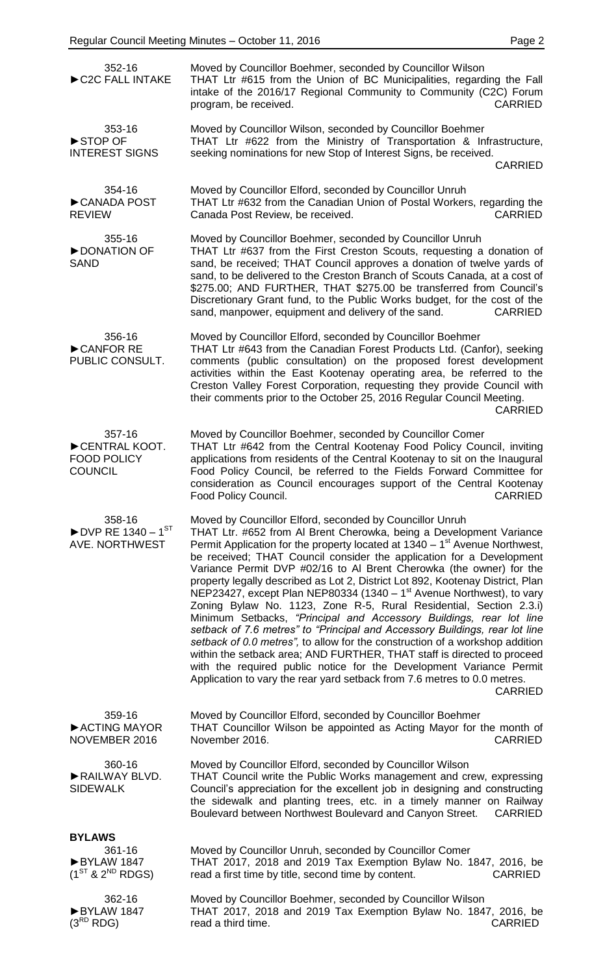| 352-16<br>C2C FALL INTAKE                                                       | Moved by Councillor Boehmer, seconded by Councillor Wilson<br>THAT Ltr #615 from the Union of BC Municipalities, regarding the Fall<br>intake of the 2016/17 Regional Community to Community (C2C) Forum<br><b>CARRIED</b><br>program, be received.                                                                                                                                                                                                                                                                                                                                                                                                                                                                                                                                                                                                                                                                                                                                                                                                                                                            |
|---------------------------------------------------------------------------------|----------------------------------------------------------------------------------------------------------------------------------------------------------------------------------------------------------------------------------------------------------------------------------------------------------------------------------------------------------------------------------------------------------------------------------------------------------------------------------------------------------------------------------------------------------------------------------------------------------------------------------------------------------------------------------------------------------------------------------------------------------------------------------------------------------------------------------------------------------------------------------------------------------------------------------------------------------------------------------------------------------------------------------------------------------------------------------------------------------------|
| 353-16<br>STOP OF<br><b>INTEREST SIGNS</b>                                      | Moved by Councillor Wilson, seconded by Councillor Boehmer<br>THAT Ltr #622 from the Ministry of Transportation & Infrastructure,<br>seeking nominations for new Stop of Interest Signs, be received.<br><b>CARRIED</b>                                                                                                                                                                                                                                                                                                                                                                                                                                                                                                                                                                                                                                                                                                                                                                                                                                                                                        |
| 354-16<br>CANADA POST<br><b>REVIEW</b>                                          | Moved by Councillor Elford, seconded by Councillor Unruh<br>THAT Ltr #632 from the Canadian Union of Postal Workers, regarding the<br><b>CARRIED</b><br>Canada Post Review, be received.                                                                                                                                                                                                                                                                                                                                                                                                                                                                                                                                                                                                                                                                                                                                                                                                                                                                                                                       |
| 355-16<br>DONATION OF<br><b>SAND</b>                                            | Moved by Councillor Boehmer, seconded by Councillor Unruh<br>THAT Ltr #637 from the First Creston Scouts, requesting a donation of<br>sand, be received; THAT Council approves a donation of twelve yards of<br>sand, to be delivered to the Creston Branch of Scouts Canada, at a cost of<br>\$275.00; AND FURTHER, THAT \$275.00 be transferred from Council's<br>Discretionary Grant fund, to the Public Works budget, for the cost of the<br>sand, manpower, equipment and delivery of the sand.<br><b>CARRIED</b>                                                                                                                                                                                                                                                                                                                                                                                                                                                                                                                                                                                         |
| 356-16<br>CANFOR RE<br>PUBLIC CONSULT.                                          | Moved by Councillor Elford, seconded by Councillor Boehmer<br>THAT Ltr #643 from the Canadian Forest Products Ltd. (Canfor), seeking<br>comments (public consultation) on the proposed forest development<br>activities within the East Kootenay operating area, be referred to the<br>Creston Valley Forest Corporation, requesting they provide Council with<br>their comments prior to the October 25, 2016 Regular Council Meeting.<br><b>CARRIED</b>                                                                                                                                                                                                                                                                                                                                                                                                                                                                                                                                                                                                                                                      |
| 357-16<br>CENTRAL KOOT.<br><b>FOOD POLICY</b><br><b>COUNCIL</b>                 | Moved by Councillor Boehmer, seconded by Councillor Comer<br>THAT Ltr #642 from the Central Kootenay Food Policy Council, inviting<br>applications from residents of the Central Kootenay to sit on the Inaugural<br>Food Policy Council, be referred to the Fields Forward Committee for<br>consideration as Council encourages support of the Central Kootenay<br>Food Policy Council.<br><b>CARRIED</b>                                                                                                                                                                                                                                                                                                                                                                                                                                                                                                                                                                                                                                                                                                     |
| 358-16<br>$\blacktriangleright$ DVP RE 1340 – 1 <sup>ST</sup><br>AVE. NORTHWEST | Moved by Councillor Elford, seconded by Councillor Unruh<br>THAT Ltr. #652 from Al Brent Cherowka, being a Development Variance<br>Permit Application for the property located at $1340 - 1$ <sup>st</sup> Avenue Northwest,<br>be received; THAT Council consider the application for a Development<br>Variance Permit DVP #02/16 to AI Brent Cherowka (the owner) for the<br>property legally described as Lot 2, District Lot 892, Kootenay District, Plan<br>NEP23427, except Plan NEP80334 (1340 – 1 <sup>st</sup> Avenue Northwest), to vary<br>Zoning Bylaw No. 1123, Zone R-5, Rural Residential, Section 2.3.i)<br>Minimum Setbacks, "Principal and Accessory Buildings, rear lot line<br>setback of 7.6 metres" to "Principal and Accessory Buildings, rear lot line<br>setback of 0.0 metres", to allow for the construction of a workshop addition<br>within the setback area; AND FURTHER, THAT staff is directed to proceed<br>with the required public notice for the Development Variance Permit<br>Application to vary the rear yard setback from 7.6 metres to 0.0 metres.<br><b>CARRIED</b> |
| 359-16<br>ACTING MAYOR<br>NOVEMBER 2016                                         | Moved by Councillor Elford, seconded by Councillor Boehmer<br>THAT Councillor Wilson be appointed as Acting Mayor for the month of<br>November 2016.<br><b>CARRIED</b>                                                                                                                                                                                                                                                                                                                                                                                                                                                                                                                                                                                                                                                                                                                                                                                                                                                                                                                                         |
| 360-16<br>RAILWAY BLVD.<br><b>SIDEWALK</b>                                      | Moved by Councillor Elford, seconded by Councillor Wilson<br>THAT Council write the Public Works management and crew, expressing<br>Council's appreciation for the excellent job in designing and constructing<br>the sidewalk and planting trees, etc. in a timely manner on Railway<br>Boulevard between Northwest Boulevard and Canyon Street.<br><b>CARRIED</b>                                                                                                                                                                                                                                                                                                                                                                                                                                                                                                                                                                                                                                                                                                                                            |
| <b>BYLAWS</b><br>361-16<br>BYLAW 1847<br>$(1^{ST}$ & $2^{ND}$ RDGS)             | Moved by Councillor Unruh, seconded by Councillor Comer<br>THAT 2017, 2018 and 2019 Tax Exemption Bylaw No. 1847, 2016, be<br>read a first time by title, second time by content.<br><b>CARRIED</b>                                                                                                                                                                                                                                                                                                                                                                                                                                                                                                                                                                                                                                                                                                                                                                                                                                                                                                            |
| 362-16<br>BYLAW 1847<br>$(3^{RD}$ RDG)                                          | Moved by Councillor Boehmer, seconded by Councillor Wilson<br>THAT 2017, 2018 and 2019 Tax Exemption Bylaw No. 1847, 2016, be<br><b>CARRIED</b><br>read a third time.                                                                                                                                                                                                                                                                                                                                                                                                                                                                                                                                                                                                                                                                                                                                                                                                                                                                                                                                          |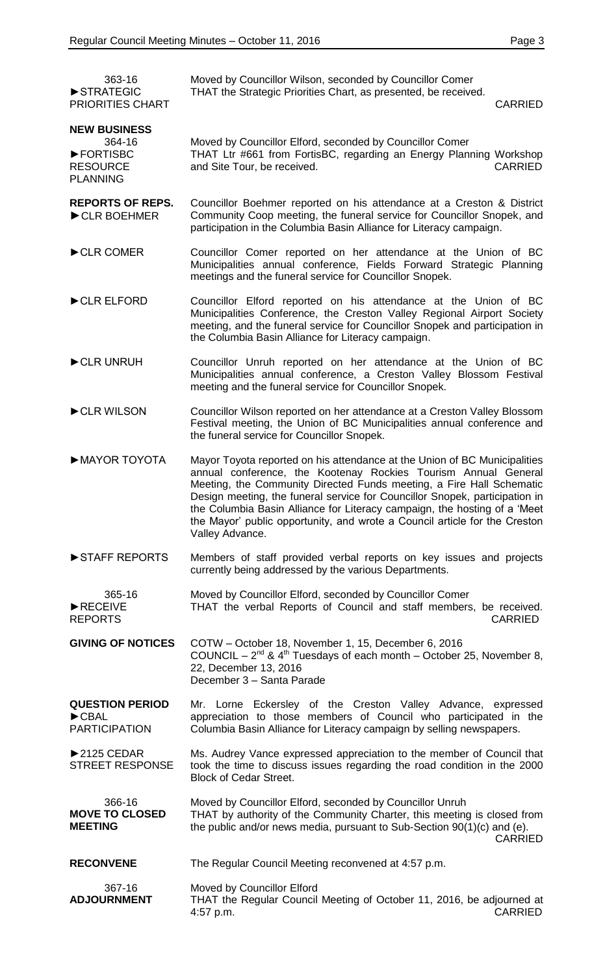363-16 ►STRATEGIC PRIORITIES CHART Moved by Councillor Wilson, seconded by Councillor Comer THAT the Strategic Priorities Chart, as presented, be received. CARRIED **NEW BUSINESS** 364-16 ►FORTISBC **RESOURCE** PLANNING Moved by Councillor Elford, seconded by Councillor Comer THAT Ltr #661 from FortisBC, regarding an Energy Planning Workshop and Site Tour, be received. and Site Tour, be received. **REPORTS OF REPS.** ►CLR BOEHMER Councillor Boehmer reported on his attendance at a Creston & District Community Coop meeting, the funeral service for Councillor Snopek, and participation in the Columbia Basin Alliance for Literacy campaign. ►CLR COMER Councillor Comer reported on her attendance at the Union of BC Municipalities annual conference, Fields Forward Strategic Planning meetings and the funeral service for Councillor Snopek. ►CLR ELFORD Councillor Elford reported on his attendance at the Union of BC Municipalities Conference, the Creston Valley Regional Airport Society meeting, and the funeral service for Councillor Snopek and participation in the Columbia Basin Alliance for Literacy campaign. ►CLR UNRUH Councillor Unruh reported on her attendance at the Union of BC Municipalities annual conference, a Creston Valley Blossom Festival meeting and the funeral service for Councillor Snopek. ►CLR WILSON Councillor Wilson reported on her attendance at a Creston Valley Blossom Festival meeting, the Union of BC Municipalities annual conference and the funeral service for Councillor Snopek. ►MAYOR TOYOTA Mayor Toyota reported on his attendance at the Union of BC Municipalities annual conference, the Kootenay Rockies Tourism Annual General Meeting, the Community Directed Funds meeting, a Fire Hall Schematic Design meeting, the funeral service for Councillor Snopek, participation in the Columbia Basin Alliance for Literacy campaign, the hosting of a 'Meet the Mayor' public opportunity, and wrote a Council article for the Creston Valley Advance. ►STAFF REPORTS Members of staff provided verbal reports on key issues and projects currently being addressed by the various Departments. 365-16 ►RECEIVE REPORTS Moved by Councillor Elford, seconded by Councillor Comer THAT the verbal Reports of Council and staff members, be received. CARRIED **GIVING OF NOTICES** COTW – October 18, November 1, 15, December 6, 2016 COUNCIL –  $2^{nd}$  & 4<sup>th</sup> Tuesdays of each month – October 25, November 8, 22, December 13, 2016 December 3 – Santa Parade **QUESTION PERIOD** ►CBAL PARTICIPATION Mr. Lorne Eckersley of the Creston Valley Advance, expressed appreciation to those members of Council who participated in the Columbia Basin Alliance for Literacy campaign by selling newspapers. ►2125 CEDAR STREET RESPONSE Ms. Audrey Vance expressed appreciation to the member of Council that took the time to discuss issues regarding the road condition in the 2000 Block of Cedar Street. 366-16 **MOVE TO CLOSED MEETING** Moved by Councillor Elford, seconded by Councillor Unruh THAT by authority of the Community Charter, this meeting is closed from the public and/or news media, pursuant to Sub-Section 90(1)(c) and (e). CARRIED **RECONVENE** The Regular Council Meeting reconvened at 4:57 p.m.

367-16 **ADJOURNMENT** Moved by Councillor Elford THAT the Regular Council Meeting of October 11, 2016, be adjourned at 4:57 p.m. CARRIED